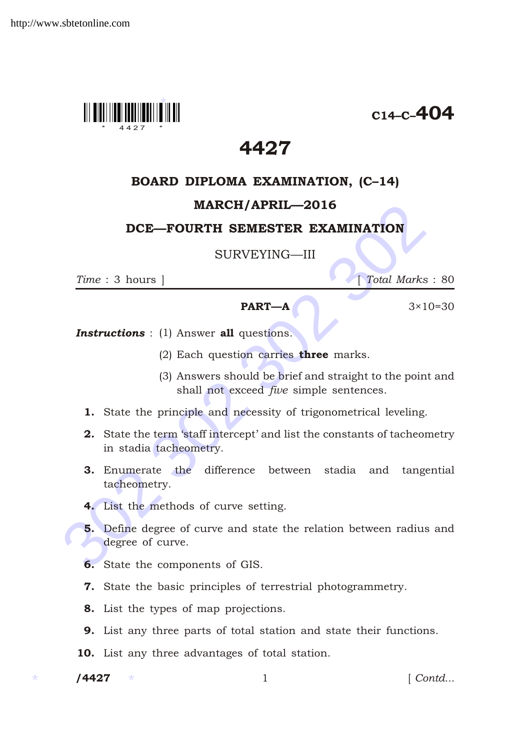

 $C_{14-C}$ –404

# 4427

## BOARD DIPLOMA EXAMINATION, (C–14)

## MARCH/APRIL—2016

### DCE—FOURTH SEMESTER EXAMINATION

#### SURVEYING—III

*Time* : 3 hours ] *Total Marks* : 80

#### **PART—A**  $3 \times 10 = 30$

**Instructions** : (1) Answer all questions.

- (2) Each question carries **three** marks.
- (3) Answers should be brief and straight to the point and shall not exceed *five* simple sentences.
- 1. State the principle and necessity of trigonometrical leveling.
- 2. State the term 'staff intercept' and list the constants of tacheometry in stadia tacheometry.
- **3.** Enumerate the difference between stadia and tangential tacheometry.
- 4. List the methods of curve setting.
- **EXAMINATION**<br> **SURVEYING—III**<br>
Time : 3 hours | Total Marks :<br> **PART—A** 3×10=<br> **Instructions** : (1) Answer **all** questions.<br>
(2) Each questions carries **three** marks.<br>
(3) Answers should be brief and straight to the poin 5. Define degree of curve and state the relation between radius and degree of curve.
	- 6. State the components of GIS.
	- 7. State the basic principles of terrestrial photogrammetry.
	- 8. List the types of map projections.
	- 9. List any three parts of total station and state their functions.
	- 10. List any three advantages of total station.
	- /4427

1 *Contd...*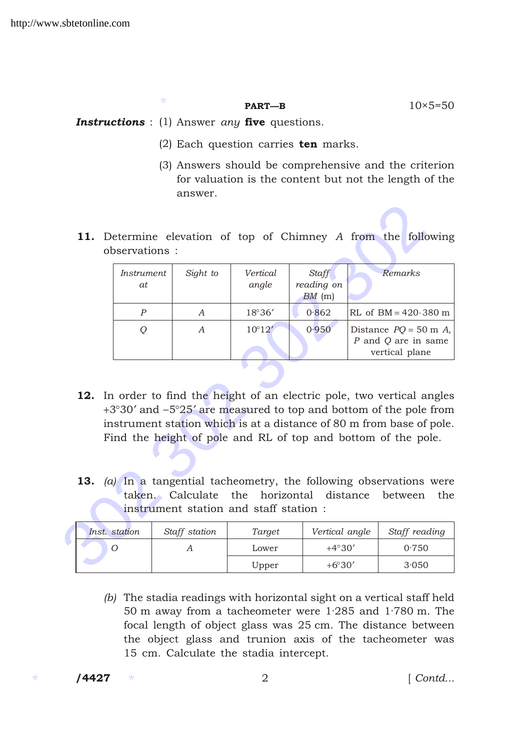**PART—B**  $10 \times 5=50$ 

**Instructions** : (1) Answer *any* five questions.

\*

- (2) Each question carries  $ten$  marks.
- (3) Answers should be comprehensive and the criterion for valuation is the content but not the length of the answer.
- 11. Determine elevation of top of Chimney *A* from the following observations :

|                                                                                                                                                                                                                                                                                                                                                                   | observations:                  | 11. Determine elevation of top of Chimney A from the following |                   |                                        |         |  |                                                              |  |
|-------------------------------------------------------------------------------------------------------------------------------------------------------------------------------------------------------------------------------------------------------------------------------------------------------------------------------------------------------------------|--------------------------------|----------------------------------------------------------------|-------------------|----------------------------------------|---------|--|--------------------------------------------------------------|--|
|                                                                                                                                                                                                                                                                                                                                                                   | <i>Instrument</i><br><i>at</i> | Sight to                                                       | Vertical<br>angle | <b>Staff</b><br>reading on<br>$BM$ (m) | Remarks |  |                                                              |  |
|                                                                                                                                                                                                                                                                                                                                                                   | $\boldsymbol{P}$               | A                                                              | 18 36             | 0.862                                  |         |  | RL of BM 420 380 m                                           |  |
|                                                                                                                                                                                                                                                                                                                                                                   | Q                              | $\mathcal{A}$                                                  | 10 12             | 0.950                                  |         |  | Distance PQ 50 m A,<br>P and Q are in same<br>vertical plane |  |
| 12. In order to find the height of an electric pole, two vertical angles<br>3 30 and 5 25 are measured to top and bottom of the pole from<br>instrument station which is at a distance of 80 m from base of pole.<br>Find the height of pole and RL of top and bottom of the pole.<br><b>13.</b> (a) In a tangential tacheometry, the following observations were |                                |                                                                |                   |                                        |         |  |                                                              |  |
| taken. Calculate the horizontal distance between<br>the<br>instrument station and staff station:                                                                                                                                                                                                                                                                  |                                |                                                                |                   |                                        |         |  |                                                              |  |
|                                                                                                                                                                                                                                                                                                                                                                   | Inst. station                  | Staff station                                                  | Target            | Vertical angle                         |         |  | Staff reading                                                |  |
|                                                                                                                                                                                                                                                                                                                                                                   | O                              | A                                                              | Lower             | 4 30                                   |         |  | 0.750                                                        |  |
|                                                                                                                                                                                                                                                                                                                                                                   |                                |                                                                | Upper             | 6 30                                   |         |  | 3.050                                                        |  |

- 12. In order to find the height of an electric pole, two vertical angles 3 30 and 5 25 are measured to top and bottom of the pole from instrument station which is at a distance of 80 m from base of pole. Find the height of pole and RL of top and bottom of the pole.
- 13. *(a)* In a tangential tacheometry, the following observations were taken. Calculate the horizontal distance between the instrument station and staff station :

| Inst. station | Staff station | Target | Vertical angle | Staff reading |
|---------------|---------------|--------|----------------|---------------|
|               |               | Lower  | 4 30           | 0.750         |
|               |               | Upper  | 6 30           | 3.050         |

*(b)* The stadia readings with horizontal sight on a vertical staff held 50 m away from a tacheometer were 1·285 and 1·780 m. The focal length of object glass was 25 cm. The distance between the object glass and trunion axis of the tacheometer was 15 cm. Calculate the stadia intercept.

/4427

/4427 2 [ *Contd...*